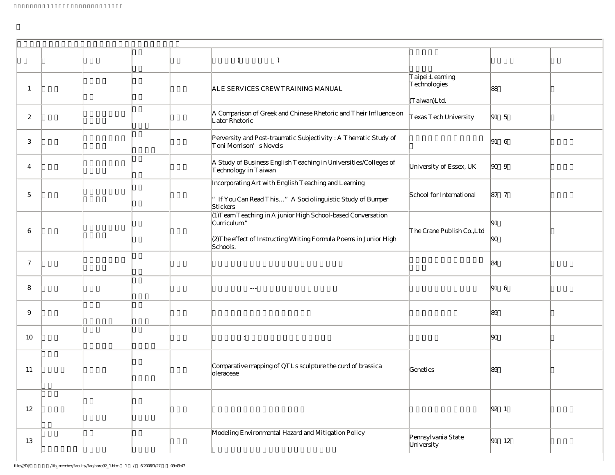|              | $\left($<br>$\left( \right)$                                                                                                                                 |                                                 |                                                              |  |
|--------------|--------------------------------------------------------------------------------------------------------------------------------------------------------------|-------------------------------------------------|--------------------------------------------------------------|--|
| 1            | ALE SERVICES CREWTRAINING MANUAL                                                                                                                             | Taipei:Learning<br>Technologies<br>(Taiwan)Ltd. | 88                                                           |  |
| $\mathbf{2}$ | A Comparison of Greek and Chinese Rhetoric and Their Influence on<br>Later Rhetoric                                                                          | Texas Tech University                           | $\begin{vmatrix} 91 & 5 \end{vmatrix}$                       |  |
| 3            | Perversity and Post-traumatic Subjectivity: A Thematic Study of<br>Toni Morrison's Novels                                                                    |                                                 | $ 91 \quad 6$                                                |  |
| 4            | A Study of Business English Teaching in Universities/Colleges of<br>Technology in Taiwan                                                                     | University of Essex, UK                         | $\begin{array}{ccc} \hline \text{90} & \text{9} \end{array}$ |  |
| 5            | Incorporating Art with English Teaching and Learning<br>If You Can Read This" A Sociolinguistic Study of Bumper<br>Stickers                                  | School for International                        | 87 7                                                         |  |
| 6            | (1) Team Teaching in A junior High School-based Conversation<br>Curriculum"<br>(2)The effect of Instructing Writing Formula Poems in Junior High<br>Schools. | The Crane Publish Co., Ltd                      | 91<br> 90                                                    |  |
| $\tau$       |                                                                                                                                                              |                                                 | 84                                                           |  |
| 8            | $\sim$ $\sim$ $\sim$                                                                                                                                         |                                                 | $\begin{vmatrix} 91 & 6 \end{vmatrix}$                       |  |
| 9            |                                                                                                                                                              |                                                 | 89                                                           |  |
| 10           | ÷                                                                                                                                                            |                                                 | 90                                                           |  |
| 11           | Comparative mapping of QTLs sculpture the curd of brassica<br>oleraceae                                                                                      | Genetics                                        | 89                                                           |  |
| 12           |                                                                                                                                                              |                                                 | $ 92 \t1$                                                    |  |
| 13           | Modeling Environmental Hazard and Mitigation Policy                                                                                                          | Pennsylvania State<br>University                | $ 91 \t12$                                                   |  |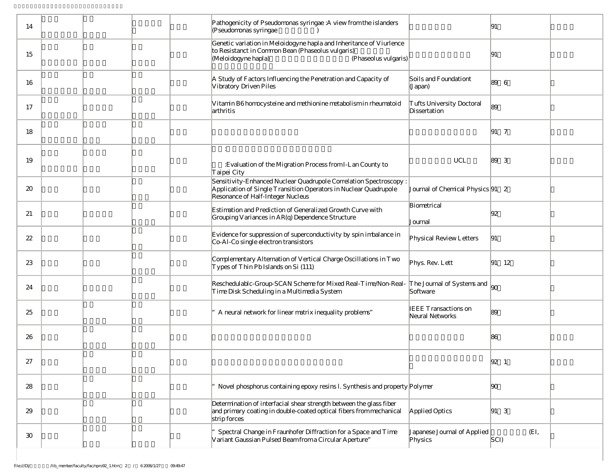| 14              | Pathogenicity of Pseudomonas syringae: A view from the islanders<br>(Pseudomonas syringae                                                                                  |                                                | 91                                     |  |
|-----------------|----------------------------------------------------------------------------------------------------------------------------------------------------------------------------|------------------------------------------------|----------------------------------------|--|
| 15              | Genetic variation in Meloidogyne hapla and Inheritance of Viurlence<br>to Resistanct in Common Bean (Phaseolus vulgaris)<br>(Meloidogyne hapla)<br>(Phaseolus vulgaris)    |                                                | 91                                     |  |
| 16              | A Study of Factors Influencing the Penetration and Capacity of<br>Vibratory Driven Piles                                                                                   | Soils and Foundationt<br>(Japan)               | $ 89 \quad 6$                          |  |
| 17              | Vitamin B6 homocysteine and methionine metabolism in rheumatoid<br>arthritis                                                                                               | Tufts University Doctoral<br>Dissertation      | 89                                     |  |
| 18              |                                                                                                                                                                            |                                                | $\begin{vmatrix} 91 & 7 \end{vmatrix}$ |  |
| 19              | $\ddot{\phantom{a}}$<br>: Evaluation of the Migration Process from I-Lan County to<br>Taipei City                                                                          | UCL                                            | $ 89 \quad 3$                          |  |
| 20              | Sensitivity-Enhanced Nuclear Quadrupole Correlation Spectroscopy:<br>Application of Single Transition Operators in Nuclear Quadrupole<br>Resonance of Half-Integer Nucleus | Journal of Chemical Physics 91 2               |                                        |  |
| 21              | Estimation and Prediction of Generalized Growth Curve with<br>Grouping Variances in AR(q) Dependence Structure                                                             | Biometrical<br>Journal                         | 92                                     |  |
| 22              | Evidence for suppression of superconductivity by spin imbalance in<br>Co-Al-Co single electron transistors                                                                 | Physical Review Letters                        | 91                                     |  |
| 23              | Complementary Alternation of Vertical Charge Oscillations in Two<br>Types of Thin Pb Islands on Si (111)                                                                   | Phys. Rev. Lett                                | $ 91 \t12$                             |  |
| 24              | Reschedulablc-Group-SCAN Scheme for Mixed Real-Time/Non-Real-<br>Time Disk Scheduling in a Multimedia System                                                               | The Journal of Systems and<br>Software         | $\log$                                 |  |
| 25              | A neural network for linear matrix inequality problems"                                                                                                                    | <b>IEEE</b> Transactions on<br>Neural Networks | 89                                     |  |
| 26              |                                                                                                                                                                            |                                                | 86                                     |  |
| 27              |                                                                                                                                                                            |                                                | $ 92 \t1$                              |  |
| 28              | Novel phosphorus containing epoxy resins l. Synthesis and property Polymer                                                                                                 |                                                | 90                                     |  |
| 29              | Determination of interfacial shear strength between the glass fiber<br>and primary coating in double-coated optical fibers from mechanical<br>strip forces                 | Applied Optics                                 | $\begin{vmatrix} 91 & 3 \end{vmatrix}$ |  |
| 30 <sup>°</sup> | Spectral Change in Fraunhofer Diffraction for a Space and Time<br>Variant Gaussian Pulsed Beam from a Circular Aperture"                                                   | Japanese Journal of Applied<br>Physics         | (EI,<br>$ SCI\rangle$                  |  |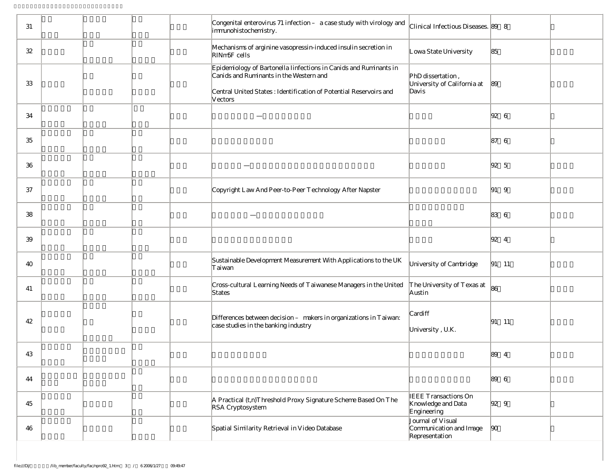| 31 | Congenital enterovirus 71 infection - a case study with virology and<br>immunohistochemistry.                                                                                                | Clinical Infectious Diseases. 89 8                               |                                        |  |
|----|----------------------------------------------------------------------------------------------------------------------------------------------------------------------------------------------|------------------------------------------------------------------|----------------------------------------|--|
| 32 | Mechanisms of arginine vasopressin-induced insulin secretion in<br>RIN <sub>m5F</sub> cells                                                                                                  | Lowa State University                                            | 85                                     |  |
| 33 | Epidemiology of Bartonella Iinfections in Canids and Ruminants in<br>Canids and Ruminants in the Western and<br>Central United States: Identification of Potential Reservoirs and<br>Vectors | PhD dissertation,<br>University of California at<br>Davis        | 89                                     |  |
| 34 |                                                                                                                                                                                              |                                                                  | $ 92 \quad 6$                          |  |
| 35 |                                                                                                                                                                                              |                                                                  | 87 6                                   |  |
| 36 |                                                                                                                                                                                              |                                                                  | $\begin{vmatrix} 92 & 5 \end{vmatrix}$ |  |
| 37 | Copyright Law And Peer-to-Peer Technology After Napster                                                                                                                                      |                                                                  | $\begin{vmatrix} 91 & 9 \end{vmatrix}$ |  |
| 38 |                                                                                                                                                                                              |                                                                  | 83 6                                   |  |
| 39 |                                                                                                                                                                                              |                                                                  | $\begin{vmatrix} 92 & 4 \end{vmatrix}$ |  |
| 40 | Sustainable Development Measurement With Applications to the UK<br>Taiwan                                                                                                                    | University of Cambridge                                          | $ 91 \t11$                             |  |
| 41 | Cross-cultural Learning Needs of Taiwanese Managers in the United<br>States                                                                                                                  | The University of Texas at<br>Austin                             | 86                                     |  |
| 42 | Differences between decision - makers in organizations in Taiwan:<br>case studies in the banking industry                                                                                    | Cardiff<br>University, U.K.                                      | $ 91 \t11$                             |  |
| 43 |                                                                                                                                                                                              |                                                                  | 89<br>$\overline{4}$                   |  |
| 44 |                                                                                                                                                                                              |                                                                  | 89 6                                   |  |
| 45 | A Practical (t,n)Threshold Proxy Signature Scheme Based On The<br>RSA Cryptosystem                                                                                                           | <b>IEEE Transactions On</b><br>Knowledge and Data<br>Engineering | $\begin{vmatrix} 92 & 9 \end{vmatrix}$ |  |
| 46 | Spatial Similarity Retrieval in Video Database                                                                                                                                               | Journal of Visual<br>Communication and Image<br>Representation   | $\vert 90 \rangle$                     |  |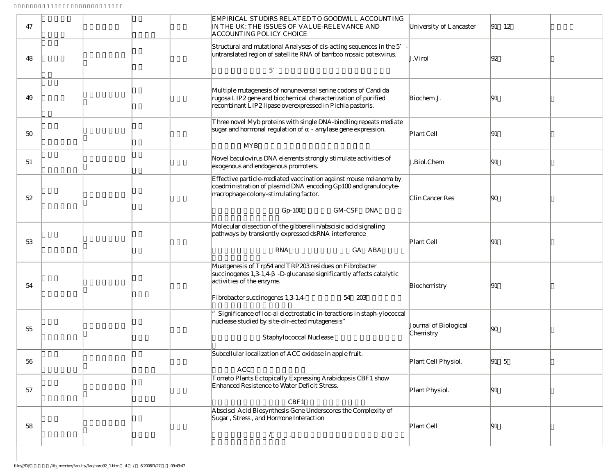| 47 | EMPIRICAL STUDIRS RELATED TO GOODWILL ACCOUNTING<br>IN THE UK: THE ISSUES OF VALUE-RELEVANCE AND<br>ACCOUNTING POLICY CHOICE                                                                                                                                                                                                                                                                                                                                                                                                                                                      | University of Lancaster            | $ 91 \t12$    |
|----|-----------------------------------------------------------------------------------------------------------------------------------------------------------------------------------------------------------------------------------------------------------------------------------------------------------------------------------------------------------------------------------------------------------------------------------------------------------------------------------------------------------------------------------------------------------------------------------|------------------------------------|---------------|
| 48 | Structural and mutational Analyses of cis-acting sequences in the 5'<br>untranslated region of satellite RNA of bamboo mosaic potexvirus.<br>5                                                                                                                                                                                                                                                                                                                                                                                                                                    | J.Virol                            | 92            |
| 49 | Multiple mutagenesis of nonuneversal serine codons of Candida<br>rugosa LIP2 gene and biochemical characterization of purified<br>recombinant LIP2 lipase overexpressed in Pichia pastoris.                                                                                                                                                                                                                                                                                                                                                                                       | Biochem.J.                         | 191           |
| 50 | Three novel Myb proteins with single DNA-bindling repeats mediate<br>sugar and hormonal regulation of - amylase gene expression.<br><b>MYB</b>                                                                                                                                                                                                                                                                                                                                                                                                                                    | Plant Cell                         | 91            |
| 51 | Novel baculovirus DNA elements strongly stimulate activities of<br>exogenous and endogenous promoters.                                                                                                                                                                                                                                                                                                                                                                                                                                                                            | J.Biol.Chem                        | 91            |
| 52 | Effective particle-mediated vaccination against mouse melanoma by<br>coadministration of plasmid DNA encoding Gp100 and granulocyte-<br>macrophage colony-stimulating factor.<br>GM-CSF DNA<br>$Gp-100$                                                                                                                                                                                                                                                                                                                                                                           | Clin Cancer Res                    | $ 90\rangle$  |
| 53 | Molecular dissection of the gibberellin/abscisic acid signaling<br>pathways by transiently expressed dsRNA interference<br><b>RNA</b><br>GA ABA                                                                                                                                                                                                                                                                                                                                                                                                                                   | Plant Cell                         | 91            |
| 54 | Muatgenesis of Trp54 and TRP203 residues on Fibrobacter<br>succinogenes 1,3-1,4 -D-glucanase significantly affects catalytic<br>activities of the enzyme.<br>Fibrobacter succinogenes 1,3-1,4-<br>54 203                                                                                                                                                                                                                                                                                                                                                                          | Biochemistry                       | 91            |
| 55 | Significance of loc-al electrostatic in-teractions in staph-ylococcal<br>nuclease studied by site-dir-ected mutagenesis"<br>Staphylococcal Nuclease                                                                                                                                                                                                                                                                                                                                                                                                                               | Journal of Biological<br>Chemistry | $ 90\rangle$  |
| 56 | Subcellular localization of ACC oxidase in apple fruit.<br>ACC                                                                                                                                                                                                                                                                                                                                                                                                                                                                                                                    | Plant Cell Physiol.                | $ 91 \quad 5$ |
| 57 | Tomato Plants Ectopically Expressing Arabidopsis CBF1 show<br>Enhanced Resistence to Water Deficit Stress.<br>CBF1                                                                                                                                                                                                                                                                                                                                                                                                                                                                | Plant Physiol.                     | 91            |
| 58 | Abscisci Acid Biosynthesis Gene Underscores the Complexity of<br>Sugar, Stress, and Hormone Interaction<br>$\begin{array}{ccc} \sqrt{2} & & \sqrt{2} & \\ \sqrt{2} & & \sqrt{2} & \\ \sqrt{2} & & \sqrt{2} & \\ \sqrt{2} & & \sqrt{2} & \\ \sqrt{2} & & \sqrt{2} & \\ \sqrt{2} & & \sqrt{2} & \\ \sqrt{2} & & \sqrt{2} & \\ \sqrt{2} & & \sqrt{2} & \\ \sqrt{2} & & \sqrt{2} & \\ \sqrt{2} & & \sqrt{2} & \\ \sqrt{2} & & \sqrt{2} & \\ \sqrt{2} & & \sqrt{2} & \\ \sqrt{2} & & \sqrt{2} & \\ \sqrt{2} & & \sqrt{2} & \\ \sqrt{2} & & \sqrt{2} & \\ \sqrt{$<br>$^\mathrm{^\circ}$ | Plant Cell                         | 91            |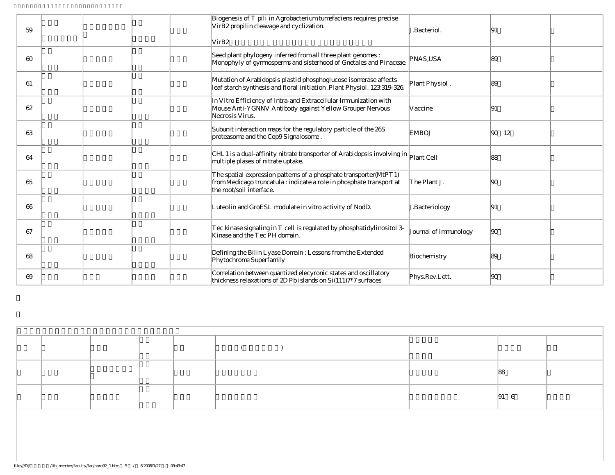| 59 | VirB2 propilin cleavage and cyclization.<br>VirB2 | Biogenesis of T pili in Agrobacterium tumefaciens requires precise                                                                          | <b>J.Bacteriol.</b>   | 91                                                  |  |
|----|---------------------------------------------------|---------------------------------------------------------------------------------------------------------------------------------------------|-----------------------|-----------------------------------------------------|--|
| 60 |                                                   | Seed plant phylogeny inferred from all three plant genomes:<br>Monophyly of gymnosperms and sisterhood of Gnetales and Pinaceae.            | PNAS.USA              | 89                                                  |  |
| 61 |                                                   | Mutation of Arabidopsis plastid phosphoglucose isomerase affects<br>leaf starch synthesis and floral initiation.Plant Physiol. 123:319-326. | Plant Physiol.        | 89                                                  |  |
| 62 | Necrosis Virus.                                   | In Vitro Efficiency of Intra-and Extracellular Immunization with<br>Mouse Anti-YGNNV Antibody against Yellow Grouper Nervous                | Vaccine               | 91                                                  |  |
| 63 | proteasome and the Cop9Signalosome.               | Subunit interaction maps for the regulatory particle of the 26S                                                                             | <b>EMBOJ</b>          | $\begin{array}{ccc} \n\boxed{90} & 12\n\end{array}$ |  |
| 64 | multiple plases of nitrate uptake.                | CHL 1 is a dual-affinity nitrate transporter of Arabidopsis involving in Plant Cell                                                         |                       | 88                                                  |  |
| 65 | the root/soil interface.                          | The spatial expression patterns of a phosphate transporter(MtPT 1)<br>from Medicago truncatula : indicate a role in phosphate transport at  | The Plant J.          | $ 90\rangle$                                        |  |
| 66 |                                                   | Luteolin and GroESL modulate in vitro activity of NodD.                                                                                     | J.Bacteriology        | 91                                                  |  |
| 67 | Kinase and the Tec PH domain.                     | Tec kinase signaling in T cell is regulated by phosphatidylinositol 3-                                                                      | Journal of Immunology | $ 90\rangle$                                        |  |
| 68 | Phytochrome Superfamily                           | Defining the Bilin Lyase Domain : Lessons from the Extended                                                                                 | Biochemistry          | 89                                                  |  |
| 69 |                                                   | Correlation between quantized elecyronic states and oscillatory<br>thickness relaxations of 2D Pb islands on Si(111)7*7 surfaces            | Phys.Rev.Lett.        | $ 90\rangle$                                        |  |

|  |  |  |  |  |  | ∼   |  |  |
|--|--|--|--|--|--|-----|--|--|
|  |  |  |  |  |  | 191 |  |  |